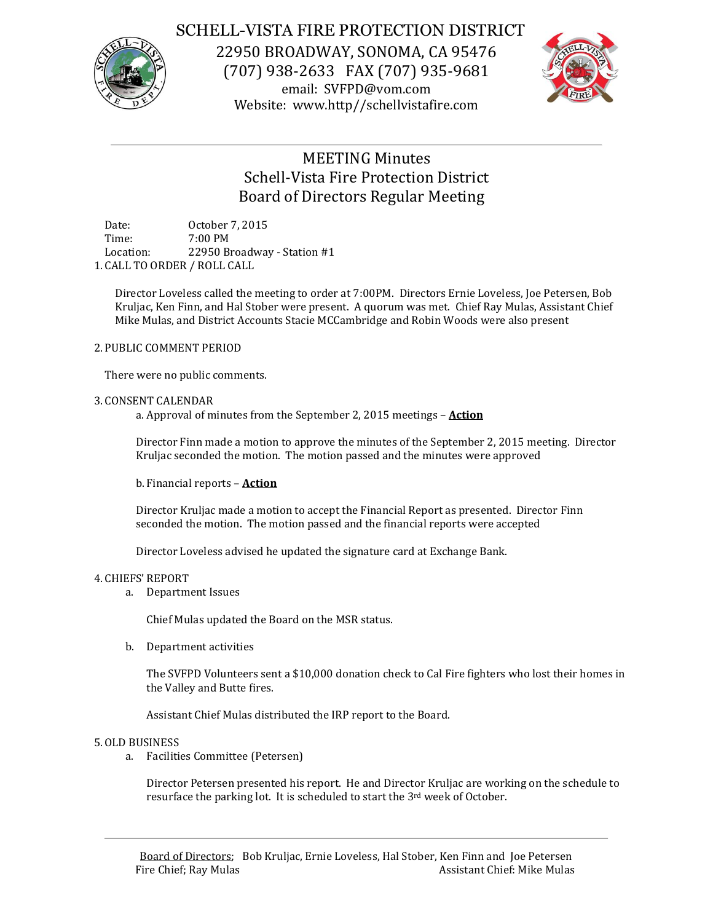

## SCHELL-VISTA FIRE PROTECTION DISTRICT

22950 BROADWAY, SONOMA, CA 95476 (707) 938-2633 FAX (707) 935-9681 email: SVFPD@vom.com Website: www.http//schellvistafire.com



# MEETING Minutes Schell-Vista Fire Protection District Board of Directors Regular Meeting

Date: October 7, 2015 Time: 7:00 PM Location: 22950 Broadway - Station #1 1. CALL TO ORDER / ROLL CALL

Director Loveless called the meeting to order at 7:00PM. Directors Ernie Loveless, Joe Petersen, Bob Kruljac, Ken Finn, and Hal Stober were present. A quorum was met. Chief Ray Mulas, Assistant Chief Mike Mulas, and District Accounts Stacie MCCambridge and Robin Woods were also present

### 2. PUBLIC COMMENT PERIOD

There were no public comments.

### 3. CONSENT CALENDAR

a. Approval of minutes from the September 2, 2015 meetings – **Action**

Director Finn made a motion to approve the minutes of the September 2, 2015 meeting. Director Kruljac seconded the motion. The motion passed and the minutes were approved

b. Financial reports – **Action**

Director Kruljac made a motion to accept the Financial Report as presented. Director Finn seconded the motion. The motion passed and the financial reports were accepted

Director Loveless advised he updated the signature card at Exchange Bank.

#### 4. CHIEFS' REPORT

a. Department Issues

Chief Mulas updated the Board on the MSR status.

b. Department activities

The SVFPD Volunteers sent a \$10,000 donation check to Cal Fire fighters who lost their homes in the Valley and Butte fires.

Assistant Chief Mulas distributed the IRP report to the Board.

#### 5.OLD BUSINESS

a. Facilities Committee (Petersen)

Director Petersen presented his report. He and Director Kruljac are working on the schedule to resurface the parking lot. It is scheduled to start the 3<sup>rd</sup> week of October.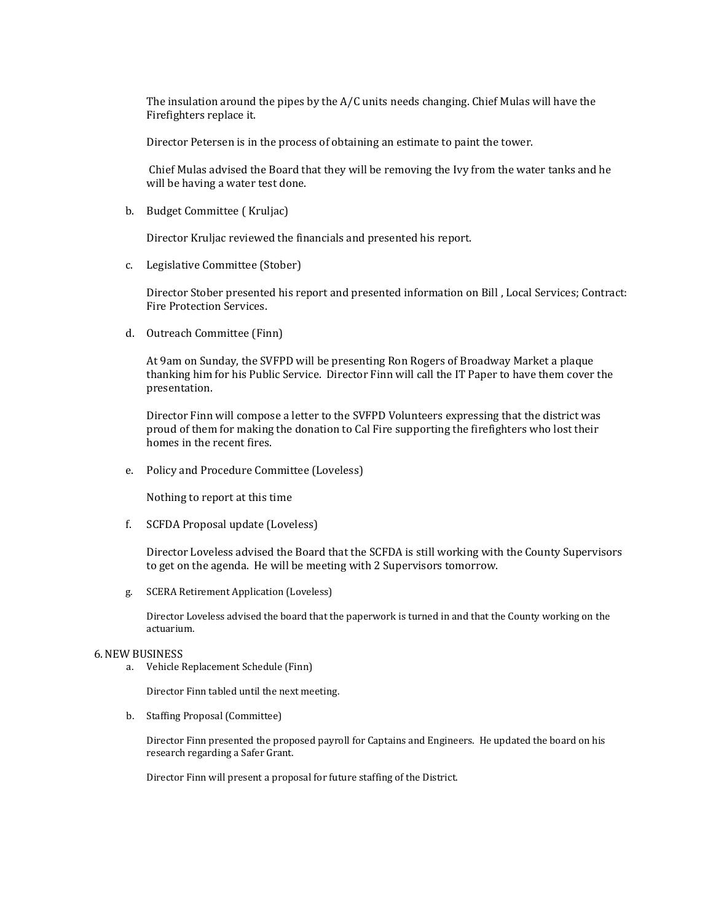The insulation around the pipes by the A/C units needs changing. Chief Mulas will have the Firefighters replace it.

Director Petersen is in the process of obtaining an estimate to paint the tower.

Chief Mulas advised the Board that they will be removing the Ivy from the water tanks and he will be having a water test done.

b. Budget Committee ( Kruljac)

Director Kruljac reviewed the financials and presented his report.

c. Legislative Committee (Stober)

Director Stober presented his report and presented information on Bill , Local Services; Contract: Fire Protection Services.

d. Outreach Committee (Finn)

At 9am on Sunday, the SVFPD will be presenting Ron Rogers of Broadway Market a plaque thanking him for his Public Service. Director Finn will call the IT Paper to have them cover the presentation.

Director Finn will compose a letter to the SVFPD Volunteers expressing that the district was proud of them for making the donation to Cal Fire supporting the firefighters who lost their homes in the recent fires.

e. Policy and Procedure Committee (Loveless)

Nothing to report at this time

f. SCFDA Proposal update (Loveless)

Director Loveless advised the Board that the SCFDA is still working with the County Supervisors to get on the agenda. He will be meeting with 2 Supervisors tomorrow.

g. SCERA Retirement Application (Loveless)

Director Loveless advised the board that the paperwork is turned in and that the County working on the actuarium.

#### 6.NEW BUSINESS

a. Vehicle Replacement Schedule (Finn)

Director Finn tabled until the next meeting.

b. Staffing Proposal (Committee)

Director Finn presented the proposed payroll for Captains and Engineers. He updated the board on his research regarding a Safer Grant.

Director Finn will present a proposal for future staffing of the District.